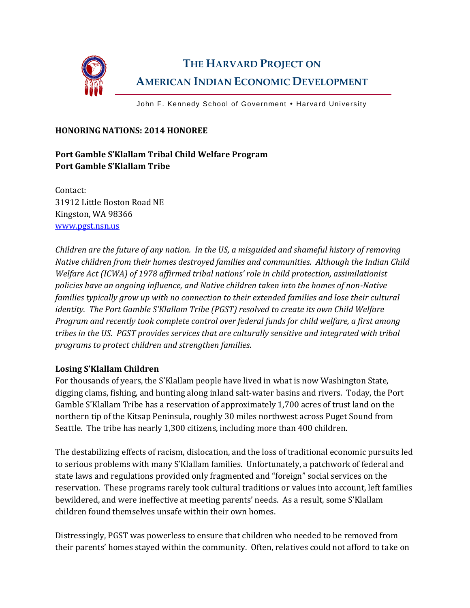

John F. Kennedy School of Government . Harvard University

### **HONORING NATIONS: 2014 HONOREE**

# **Port Gamble S'Klallam Tribal Child Welfare Program Port Gamble S'Klallam Tribe**

Contact: 31912 Little Boston Road NE Kingston, WA 98366 [www.pgst.nsn.us](http://www.pgst.nsn.us/)

*Children are the future of any nation. In the US, a misguided and shameful history of removing Native children from their homes destroyed families and communities. Although the Indian Child Welfare Act (ICWA) of 1978 affirmed tribal nations' role in child protection, assimilationist policies have an ongoing influence, and Native children taken into the homes of non-Native families typically grow up with no connection to their extended families and lose their cultural identity. The Port Gamble S'Klallam Tribe (PGST) resolved to create its own Child Welfare Program and recently took complete control over federal funds for child welfare, a first among tribes in the US. PGST provides services that are culturally sensitive and integrated with tribal programs to protect children and strengthen families.*

## **Losing S'Klallam Children**

For thousands of years, the S'Klallam people have lived in what is now Washington State, digging clams, fishing, and hunting along inland salt-water basins and rivers. Today, the Port Gamble S'Klallam Tribe has a reservation of approximately 1,700 acres of trust land on the northern tip of the Kitsap Peninsula, roughly 30 miles northwest across Puget Sound from Seattle. The tribe has nearly 1,300 citizens, including more than 400 children.

The destabilizing effects of racism, dislocation, and the loss of traditional economic pursuits led to serious problems with many S'Klallam families. Unfortunately, a patchwork of federal and state laws and regulations provided only fragmented and "foreign" social services on the reservation. These programs rarely took cultural traditions or values into account, left families bewildered, and were ineffective at meeting parents' needs. As a result, some S'Klallam children found themselves unsafe within their own homes.

Distressingly, PGST was powerless to ensure that children who needed to be removed from their parents' homes stayed within the community. Often, relatives could not afford to take on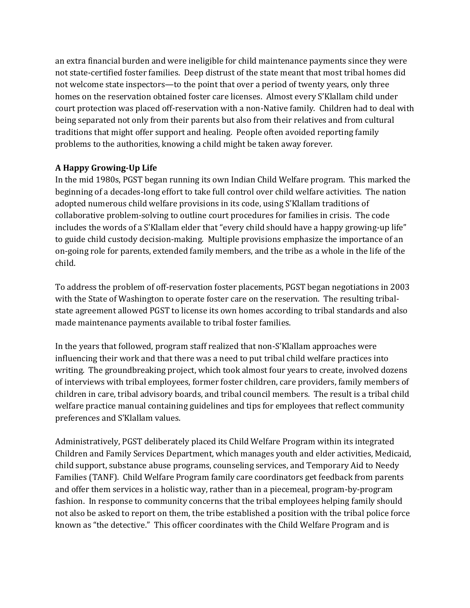an extra financial burden and were ineligible for child maintenance payments since they were not state-certified foster families. Deep distrust of the state meant that most tribal homes did not welcome state inspectors—to the point that over a period of twenty years, only three homes on the reservation obtained foster care licenses. Almost every S'Klallam child under court protection was placed off-reservation with a non-Native family. Children had to deal with being separated not only from their parents but also from their relatives and from cultural traditions that might offer support and healing. People often avoided reporting family problems to the authorities, knowing a child might be taken away forever.

## **A Happy Growing-Up Life**

In the mid 1980s, PGST began running its own Indian Child Welfare program. This marked the beginning of a decades-long effort to take full control over child welfare activities. The nation adopted numerous child welfare provisions in its code, using S'Klallam traditions of collaborative problem-solving to outline court procedures for families in crisis. The code includes the words of a S'Klallam elder that "every child should have a happy growing-up life" to guide child custody decision-making. Multiple provisions emphasize the importance of an on-going role for parents, extended family members, and the tribe as a whole in the life of the child.

To address the problem of off-reservation foster placements, PGST began negotiations in 2003 with the State of Washington to operate foster care on the reservation. The resulting tribalstate agreement allowed PGST to license its own homes according to tribal standards and also made maintenance payments available to tribal foster families.

In the years that followed, program staff realized that non-S'Klallam approaches were influencing their work and that there was a need to put tribal child welfare practices into writing. The groundbreaking project, which took almost four years to create, involved dozens of interviews with tribal employees, former foster children, care providers, family members of children in care, tribal advisory boards, and tribal council members. The result is a tribal child welfare practice manual containing guidelines and tips for employees that reflect community preferences and S'Klallam values.

Administratively, PGST deliberately placed its Child Welfare Program within its integrated Children and Family Services Department, which manages youth and elder activities, Medicaid, child support, substance abuse programs, counseling services, and Temporary Aid to Needy Families (TANF). Child Welfare Program family care coordinators get feedback from parents and offer them services in a holistic way, rather than in a piecemeal, program-by-program fashion. In response to community concerns that the tribal employees helping family should not also be asked to report on them, the tribe established a position with the tribal police force known as "the detective." This officer coordinates with the Child Welfare Program and is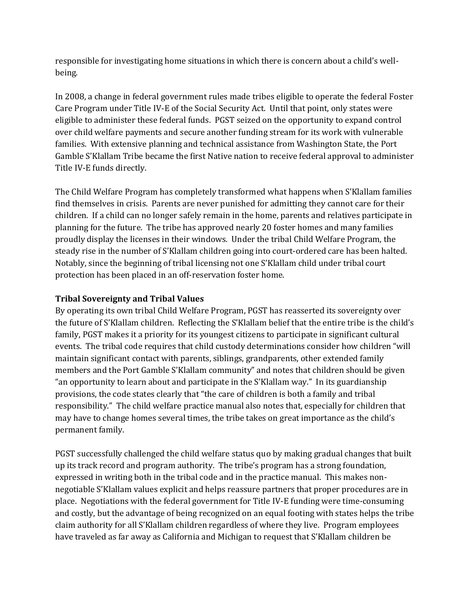responsible for investigating home situations in which there is concern about a child's wellbeing.

In 2008, a change in federal government rules made tribes eligible to operate the federal Foster Care Program under Title IV-E of the Social Security Act. Until that point, only states were eligible to administer these federal funds. PGST seized on the opportunity to expand control over child welfare payments and secure another funding stream for its work with vulnerable families. With extensive planning and technical assistance from Washington State, the Port Gamble S'Klallam Tribe became the first Native nation to receive federal approval to administer Title IV-E funds directly.

The Child Welfare Program has completely transformed what happens when S'Klallam families find themselves in crisis. Parents are never punished for admitting they cannot care for their children. If a child can no longer safely remain in the home, parents and relatives participate in planning for the future. The tribe has approved nearly 20 foster homes and many families proudly display the licenses in their windows. Under the tribal Child Welfare Program, the steady rise in the number of S'Klallam children going into court-ordered care has been halted. Notably, since the beginning of tribal licensing not one S'Klallam child under tribal court protection has been placed in an off-reservation foster home.

## **Tribal Sovereignty and Tribal Values**

By operating its own tribal Child Welfare Program, PGST has reasserted its sovereignty over the future of S'Klallam children. Reflecting the S'Klallam belief that the entire tribe is the child's family, PGST makes it a priority for its youngest citizens to participate in significant cultural events. The tribal code requires that child custody determinations consider how children "will maintain significant contact with parents, siblings, grandparents, other extended family members and the Port Gamble S'Klallam community" and notes that children should be given "an opportunity to learn about and participate in the S'Klallam way." In its guardianship provisions, the code states clearly that "the care of children is both a family and tribal responsibility." The child welfare practice manual also notes that, especially for children that may have to change homes several times, the tribe takes on great importance as the child's permanent family.

PGST successfully challenged the child welfare status quo by making gradual changes that built up its track record and program authority. The tribe's program has a strong foundation, expressed in writing both in the tribal code and in the practice manual. This makes nonnegotiable S'Klallam values explicit and helps reassure partners that proper procedures are in place. Negotiations with the federal government for Title IV-E funding were time-consuming and costly, but the advantage of being recognized on an equal footing with states helps the tribe claim authority for all S'Klallam children regardless of where they live. Program employees have traveled as far away as California and Michigan to request that S'Klallam children be